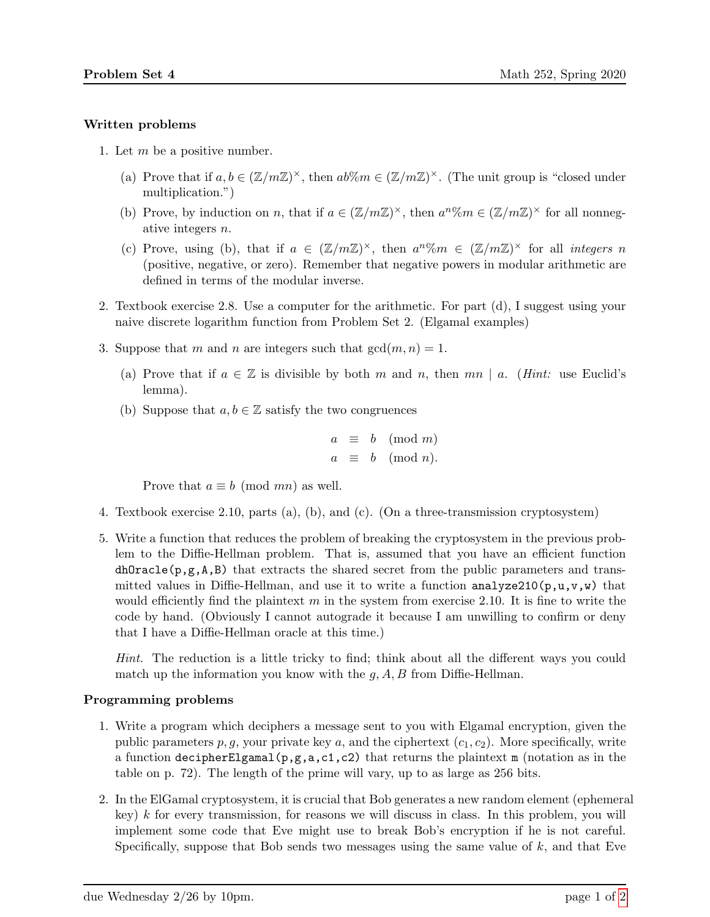## Written problems

- 1. Let  $m$  be a positive number.
	- (a) Prove that if  $a, b \in (\mathbb{Z}/m\mathbb{Z})^{\times}$ , then  $ab\%m \in (\mathbb{Z}/m\mathbb{Z})^{\times}$ . (The unit group is "closed under multiplication.")
	- (b) Prove, by induction on n, that if  $a \in (\mathbb{Z}/m\mathbb{Z})^{\times}$ , then  $a^n\%m \in (\mathbb{Z}/m\mathbb{Z})^{\times}$  for all nonnegative integers n.
	- (c) Prove, using (b), that if  $a \in (\mathbb{Z}/m\mathbb{Z})^{\times}$ , then  $a^n\%m \in (\mathbb{Z}/m\mathbb{Z})^{\times}$  for all *integers* n (positive, negative, or zero). Remember that negative powers in modular arithmetic are defined in terms of the modular inverse.
- 2. Textbook exercise 2.8. Use a computer for the arithmetic. For part (d), I suggest using your naive discrete logarithm function from Problem Set 2. (Elgamal examples)
- 3. Suppose that m and n are integers such that  $gcd(m, n) = 1$ .
	- (a) Prove that if  $a \in \mathbb{Z}$  is divisible by both m and n, then mn | a. (*Hint:* use Euclid's lemma).
	- (b) Suppose that  $a, b \in \mathbb{Z}$  satisfy the two congruences

$$
a \equiv b \pmod{m}
$$
  

$$
a \equiv b \pmod{n}.
$$

Prove that  $a \equiv b \pmod{mn}$  as well.

- 4. Textbook exercise 2.10, parts (a), (b), and (c). (On a three-transmission cryptosystem)
- 5. Write a function that reduces the problem of breaking the cryptosystem in the previous problem to the Diffie-Hellman problem. That is, assumed that you have an efficient function  $dhOracle(p,g,A,B)$  that extracts the shared secret from the public parameters and transmitted values in Diffie-Hellman, and use it to write a function analyze210 $(p, u, v, w)$  that would efficiently find the plaintext m in the system from exercise 2.10. It is fine to write the code by hand. (Obviously I cannot autograde it because I am unwilling to confirm or deny that I have a Diffie-Hellman oracle at this time.)

Hint. The reduction is a little tricky to find; think about all the different ways you could match up the information you know with the  $g$ ,  $A$ ,  $B$  from Diffie-Hellman.

## Programming problems

- 1. Write a program which deciphers a message sent to you with Elgamal encryption, given the public parameters  $p, g$ , your private key a, and the ciphertext  $(c_1, c_2)$ . More specifically, write a function decipherElgamal(p,g,a,c1,c2) that returns the plaintext m (notation as in the table on p. 72). The length of the prime will vary, up to as large as 256 bits.
- 2. In the ElGamal cryptosystem, it is crucial that Bob generates a new random element (ephemeral key)  $k$  for every transmission, for reasons we will discuss in class. In this problem, you will implement some code that Eve might use to break Bob's encryption if he is not careful. Specifically, suppose that Bob sends two messages using the same value of  $k$ , and that Eve